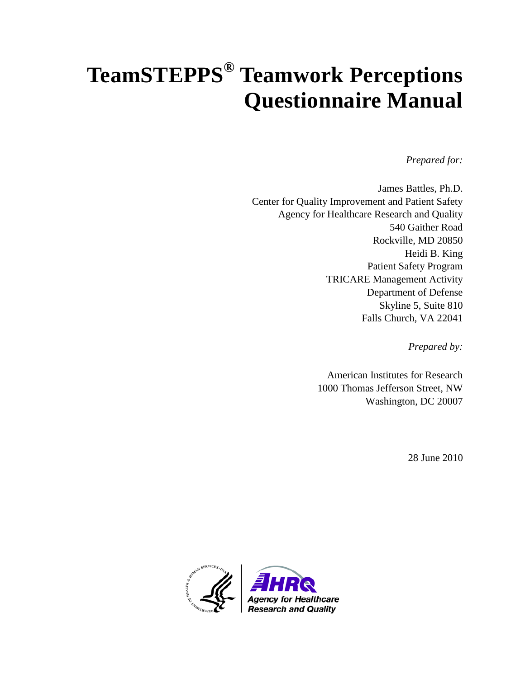# **TeamSTEPPS® Teamwork Perceptions Questionnaire Manual**

*Prepared for:* 

James Battles, Ph.D. Center for Quality Improvement and Patient Safety Agency for Healthcare Research and Quality 540 Gaither Road Rockville, MD 20850 Heidi B. King Patient Safety Program TRICARE Management Activity Department of Defense Skyline 5, Suite 810 Falls Church, VA 22041

*Prepared by:* 

American Institutes for Research 1000 Thomas Jefferson Street, NW Washington, DC 20007

28 June 2010

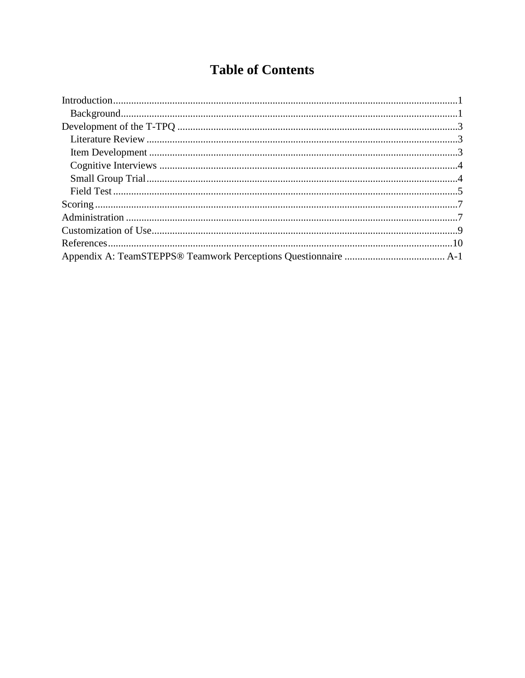# **Table of Contents**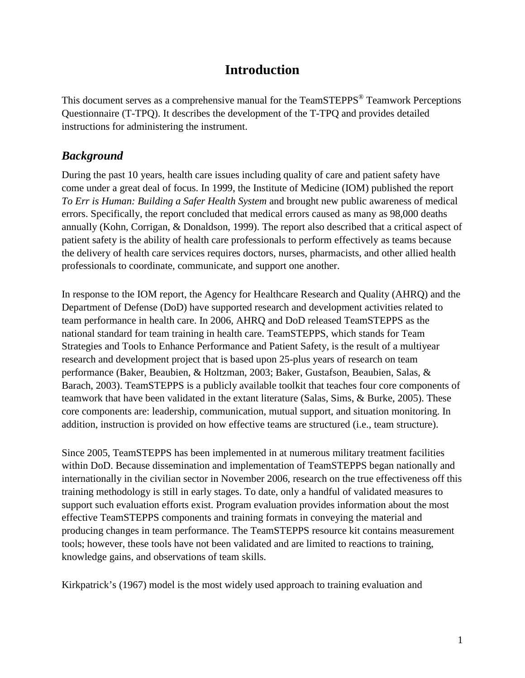#### **Introduction**

<span id="page-2-0"></span>This document serves as a comprehensive manual for the TeamSTEPPS<sup>®</sup> Teamwork Perceptions Questionnaire (T-TPQ). It describes the development of the T-TPQ and provides detailed instructions for administering the instrument.

#### <span id="page-2-1"></span>*Background*

During the past 10 years, health care issues including quality of care and patient safety have come under a great deal of focus. In 1999, the Institute of Medicine (IOM) published the report *To Err is Human: Building a Safer Health System* and brought new public awareness of medical errors. Specifically, the report concluded that medical errors caused as many as 98,000 deaths annually (Kohn, Corrigan, & Donaldson, 1999). The report also described that a critical aspect of patient safety is the ability of health care professionals to perform effectively as teams because the delivery of health care services requires doctors, nurses, pharmacists, and other allied health professionals to coordinate, communicate, and support one another.

In response to the IOM report, the Agency for Healthcare Research and Quality (AHRQ) and the Department of Defense (DoD) have supported research and development activities related to team performance in health care. In 2006, AHRQ and DoD released TeamSTEPPS as the national standard for team training in health care. TeamSTEPPS, which stands for Team Strategies and Tools to Enhance Performance and Patient Safety, is the result of a multiyear research and development project that is based upon 25-plus years of research on team performance (Baker, Beaubien, & Holtzman, 2003; Baker, Gustafson, Beaubien, Salas, & Barach, 2003). TeamSTEPPS is a publicly available toolkit that teaches four core components of teamwork that have been validated in the extant literature (Salas, Sims, & Burke, 2005). These core components are: leadership, communication, mutual support, and situation monitoring. In addition, instruction is provided on how effective teams are structured (i.e., team structure).

Since 2005, TeamSTEPPS has been implemented in at numerous military treatment facilities within DoD. Because dissemination and implementation of TeamSTEPPS began nationally and internationally in the civilian sector in November 2006, research on the true effectiveness off this training methodology is still in early stages. To date, only a handful of validated measures to support such evaluation efforts exist. Program evaluation provides information about the most effective TeamSTEPPS components and training formats in conveying the material and producing changes in team performance. The TeamSTEPPS resource kit contains measurement tools; however, these tools have not been validated and are limited to reactions to training, knowledge gains, and observations of team skills.

Kirkpatrick's (1967) model is the most widely used approach to training evaluation and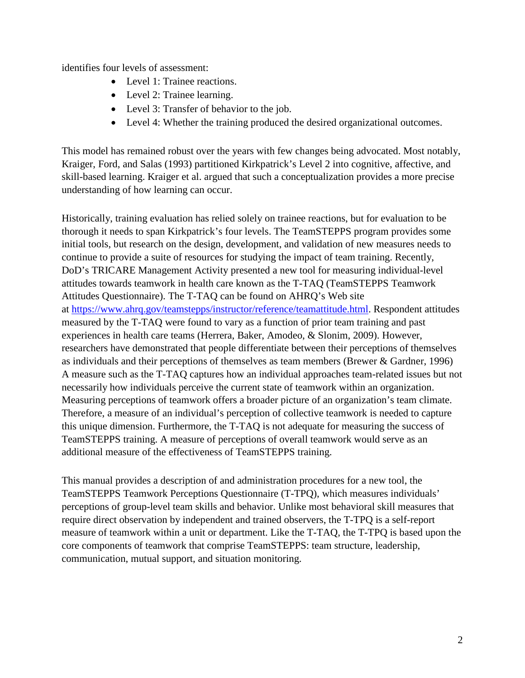identifies four levels of assessment:

- Level 1: Trainee reactions.
- Level 2: Trainee learning.
- Level 3: Transfer of behavior to the job.
- Level 4: Whether the training produced the desired organizational outcomes.

This model has remained robust over the years with few changes being advocated. Most notably, Kraiger, Ford, and Salas (1993) partitioned Kirkpatrick's Level 2 into cognitive, affective, and skill-based learning. Kraiger et al. argued that such a conceptualization provides a more precise understanding of how learning can occur.

Historically, training evaluation has relied solely on trainee reactions, but for evaluation to be thorough it needs to span Kirkpatrick's four levels. The TeamSTEPPS program provides some initial tools, but research on the design, development, and validation of new measures needs to continue to provide a suite of resources for studying the impact of team training. Recently, DoD's TRICARE Management Activity presented a new tool for measuring individual-level attitudes towards teamwork in health care known as the T-TAQ (TeamSTEPPS Teamwork Attitudes Questionnaire). The T-TAQ can be found on AHRQ's Web site at [https://www.ahrq.gov/teamstepps/instructor/reference/teamattitude.html.](https://www.ahrq.gov/teamstepps/instructor/reference/teamattitude.html) Respondent attitudes measured by the T-TAQ were found to vary as a function of prior team training and past experiences in health care teams (Herrera, Baker, Amodeo, & Slonim, 2009). However, researchers have demonstrated that people differentiate between their perceptions of themselves as individuals and their perceptions of themselves as team members (Brewer & Gardner, 1996) A measure such as the T-TAQ captures how an individual approaches team-related issues but not necessarily how individuals perceive the current state of teamwork within an organization. Measuring perceptions of teamwork offers a broader picture of an organization's team climate. Therefore, a measure of an individual's perception of collective teamwork is needed to capture this unique dimension. Furthermore, the T-TAQ is not adequate for measuring the success of TeamSTEPPS training. A measure of perceptions of overall teamwork would serve as an additional measure of the effectiveness of TeamSTEPPS training.

This manual provides a description of and administration procedures for a new tool, the TeamSTEPPS Teamwork Perceptions Questionnaire (T-TPQ), which measures individuals' perceptions of group-level team skills and behavior. Unlike most behavioral skill measures that require direct observation by independent and trained observers, the T-TPQ is a self-report measure of teamwork within a unit or department. Like the T-TAQ, the T-TPQ is based upon the core components of teamwork that comprise TeamSTEPPS: team structure, leadership, communication, mutual support, and situation monitoring.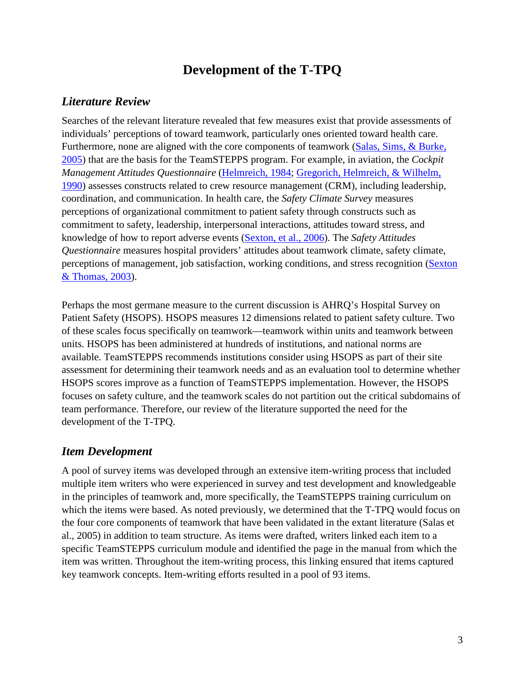### **Development of the T-TPQ**

#### <span id="page-4-1"></span><span id="page-4-0"></span>*Literature Review*

Searches of the relevant literature revealed that few measures exist that provide assessments of individuals' perceptions of toward teamwork, particularly ones oriented toward health care. Furthermore, none are aligned with the core components of teamwork (Salas, Sims, & Burke, [2005\)](https://admin.ahrq.gov/teamstepps/instructor/reference/teamattitudesmanual.html%23Salas) that are the basis for the TeamSTEPPS program. For example, in aviation, the *Cockpit Management Attitudes Questionnaire* [\(Helmreich, 1984;](https://admin.ahrq.gov/teamstepps/instructor/reference/teamattitudesmanual.html%23Helmreich) [Gregorich, Helmreich, & Wilhelm,](https://admin.ahrq.gov/teamstepps/instructor/reference/teamattitudesmanual.html%23Gregorich)  [1990\)](https://admin.ahrq.gov/teamstepps/instructor/reference/teamattitudesmanual.html%23Gregorich) assesses constructs related to crew resource management (CRM), including leadership, coordination, and communication. In health care, the *Safety Climate Survey* measures perceptions of organizational commitment to patient safety through constructs such as commitment to safety, leadership, interpersonal interactions, attitudes toward stress, and knowledge of how to report adverse events [\(Sexton, et al., 2006\)](https://admin.ahrq.gov/teamstepps/instructor/reference/teamattitudesmanual.html%23Sexton2006). The *Safety Attitudes Questionnaire* measures hospital providers' attitudes about teamwork climate, safety climate, perceptions of management, job satisfaction, working conditions, and stress recognition (Sexton [& Thomas, 2003\)](https://admin.ahrq.gov/teamstepps/instructor/reference/teamattitudesmanual.html%23Sexton2003).

Perhaps the most germane measure to the current discussion is AHRQ's Hospital Survey on Patient Safety (HSOPS). HSOPS measures 12 dimensions related to patient safety culture. Two of these scales focus specifically on teamwork—teamwork within units and teamwork between units. HSOPS has been administered at hundreds of institutions, and national norms are available. TeamSTEPPS recommends institutions consider using HSOPS as part of their site assessment for determining their teamwork needs and as an evaluation tool to determine whether HSOPS scores improve as a function of TeamSTEPPS implementation. However, the HSOPS focuses on safety culture, and the teamwork scales do not partition out the critical subdomains of team performance. Therefore, our review of the literature supported the need for the development of the T-TPQ.

#### <span id="page-4-2"></span>*Item Development*

A pool of survey items was developed through an extensive item-writing process that included multiple item writers who were experienced in survey and test development and knowledgeable in the principles of teamwork and, more specifically, the TeamSTEPPS training curriculum on which the items were based. As noted previously, we determined that the T-TPQ would focus on the four core components of teamwork that have been validated in the extant literature (Salas et al., 2005) in addition to team structure. As items were drafted, writers linked each item to a specific TeamSTEPPS curriculum module and identified the page in the manual from which the item was written. Throughout the item-writing process, this linking ensured that items captured key teamwork concepts. Item-writing efforts resulted in a pool of 93 items.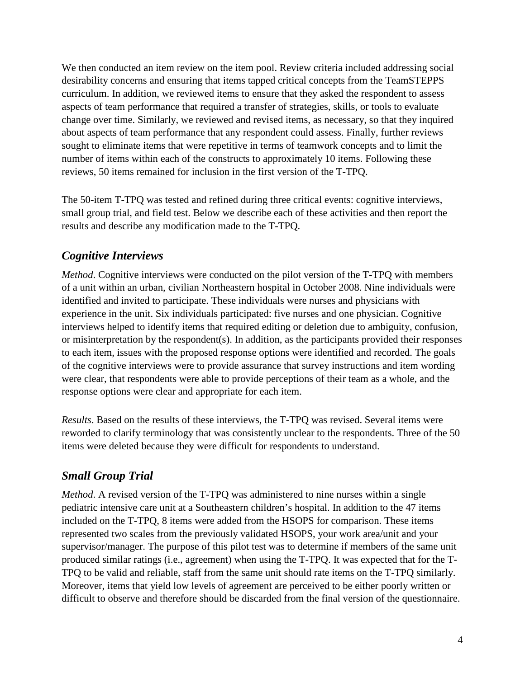We then conducted an item review on the item pool. Review criteria included addressing social desirability concerns and ensuring that items tapped critical concepts from the TeamSTEPPS curriculum. In addition, we reviewed items to ensure that they asked the respondent to assess aspects of team performance that required a transfer of strategies, skills, or tools to evaluate change over time. Similarly, we reviewed and revised items, as necessary, so that they inquired about aspects of team performance that any respondent could assess. Finally, further reviews sought to eliminate items that were repetitive in terms of teamwork concepts and to limit the number of items within each of the constructs to approximately 10 items. Following these reviews, 50 items remained for inclusion in the first version of the T-TPQ.

The 50-item T-TPQ was tested and refined during three critical events: cognitive interviews, small group trial, and field test. Below we describe each of these activities and then report the results and describe any modification made to the T-TPQ.

#### <span id="page-5-0"></span>*Cognitive Interviews*

*Method*. Cognitive interviews were conducted on the pilot version of the T-TPQ with members of a unit within an urban, civilian Northeastern hospital in October 2008. Nine individuals were identified and invited to participate. These individuals were nurses and physicians with experience in the unit. Six individuals participated: five nurses and one physician. Cognitive interviews helped to identify items that required editing or deletion due to ambiguity, confusion, or misinterpretation by the respondent(s). In addition, as the participants provided their responses to each item, issues with the proposed response options were identified and recorded. The goals of the cognitive interviews were to provide assurance that survey instructions and item wording were clear, that respondents were able to provide perceptions of their team as a whole, and the response options were clear and appropriate for each item.

*Results*. Based on the results of these interviews, the T-TPQ was revised. Several items were reworded to clarify terminology that was consistently unclear to the respondents. Three of the 50 items were deleted because they were difficult for respondents to understand.

#### <span id="page-5-1"></span>*Small Group Trial*

*Method*. A revised version of the T-TPQ was administered to nine nurses within a single pediatric intensive care unit at a Southeastern children's hospital. In addition to the 47 items included on the T-TPQ, 8 items were added from the HSOPS for comparison. These items represented two scales from the previously validated HSOPS, your work area/unit and your supervisor/manager. The purpose of this pilot test was to determine if members of the same unit produced similar ratings (i.e., agreement) when using the T-TPQ. It was expected that for the T-TPQ to be valid and reliable, staff from the same unit should rate items on the T-TPQ similarly. Moreover, items that yield low levels of agreement are perceived to be either poorly written or difficult to observe and therefore should be discarded from the final version of the questionnaire.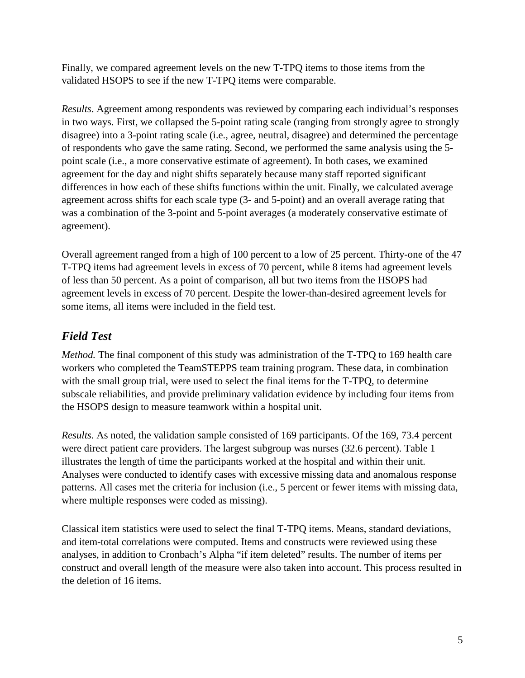Finally, we compared agreement levels on the new T-TPQ items to those items from the validated HSOPS to see if the new T-TPQ items were comparable.

*Results*. Agreement among respondents was reviewed by comparing each individual's responses in two ways. First, we collapsed the 5-point rating scale (ranging from strongly agree to strongly disagree) into a 3-point rating scale (i.e., agree, neutral, disagree) and determined the percentage of respondents who gave the same rating. Second, we performed the same analysis using the 5 point scale (i.e., a more conservative estimate of agreement). In both cases, we examined agreement for the day and night shifts separately because many staff reported significant differences in how each of these shifts functions within the unit. Finally, we calculated average agreement across shifts for each scale type (3- and 5-point) and an overall average rating that was a combination of the 3-point and 5-point averages (a moderately conservative estimate of agreement).

Overall agreement ranged from a high of 100 percent to a low of 25 percent. Thirty-one of the 47 T-TPQ items had agreement levels in excess of 70 percent, while 8 items had agreement levels of less than 50 percent. As a point of comparison, all but two items from the HSOPS had agreement levels in excess of 70 percent. Despite the lower-than-desired agreement levels for some items, all items were included in the field test.

#### <span id="page-6-0"></span>*Field Test*

*Method*. The final component of this study was administration of the T-TPQ to 169 health care workers who completed the TeamSTEPPS team training program. These data, in combination with the small group trial, were used to select the final items for the T-TPQ, to determine subscale reliabilities, and provide preliminary validation evidence by including four items from the HSOPS design to measure teamwork within a hospital unit.

*Results.* As noted, the validation sample consisted of 169 participants. Of the 169, 73.4 percent were direct patient care providers. The largest subgroup was nurses (32.6 percent). Table 1 illustrates the length of time the participants worked at the hospital and within their unit. Analyses were conducted to identify cases with excessive missing data and anomalous response patterns. All cases met the criteria for inclusion (i.e., 5 percent or fewer items with missing data, where multiple responses were coded as missing).

Classical item statistics were used to select the final T-TPQ items. Means, standard deviations, and item-total correlations were computed. Items and constructs were reviewed using these analyses, in addition to Cronbach's Alpha "if item deleted" results. The number of items per construct and overall length of the measure were also taken into account. This process resulted in the deletion of 16 items.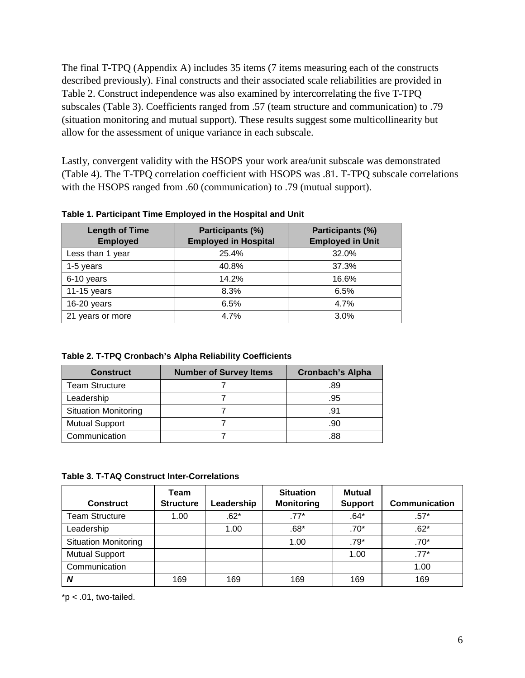The final T-TPQ (Appendix A) includes 35 items (7 items measuring each of the constructs described previously). Final constructs and their associated scale reliabilities are provided in Table 2. Construct independence was also examined by intercorrelating the five T-TPQ subscales (Table 3). Coefficients ranged from .57 (team structure and communication) to .79 (situation monitoring and mutual support). These results suggest some multicollinearity but allow for the assessment of unique variance in each subscale.

Lastly, convergent validity with the HSOPS your work area/unit subscale was demonstrated (Table 4). The T-TPQ correlation coefficient with HSOPS was .81. T-TPQ subscale correlations with the HSOPS ranged from .60 (communication) to .79 (mutual support).

| <b>Length of Time</b><br><b>Employed</b> | Participants (%)<br><b>Employed in Hospital</b> | Participants (%)<br><b>Employed in Unit</b><br>32.0%<br>37.3%<br>16.6%<br>6.5%<br>4.7% |  |
|------------------------------------------|-------------------------------------------------|----------------------------------------------------------------------------------------|--|
| Less than 1 year                         | 25.4%                                           |                                                                                        |  |
| 1-5 years                                | 40.8%                                           |                                                                                        |  |
| 6-10 years                               | 14.2%                                           |                                                                                        |  |
| 11-15 years                              | 8.3%                                            |                                                                                        |  |
| 16-20 years                              | 6.5%                                            |                                                                                        |  |
| 21 years or more                         | 4.7%                                            | 3.0%                                                                                   |  |

**Table 1. Participant Time Employed in the Hospital and Unit**

**Table 2. T-TPQ Cronbach's Alpha Reliability Coefficients**

| <b>Construct</b>            | <b>Number of Survey Items</b> | <b>Cronbach's Alpha</b> |
|-----------------------------|-------------------------------|-------------------------|
| <b>Team Structure</b>       |                               | .89                     |
| Leadership                  |                               | .95                     |
| <b>Situation Monitoring</b> |                               | .91                     |
| <b>Mutual Support</b>       |                               | .90                     |
| Communication               |                               |                         |

**Table 3. T-TAQ Construct Inter-Correlations**

| <b>Construct</b>            | Team<br><b>Structure</b> | Leadership | <b>Situation</b><br><b>Monitoring</b> | <b>Mutual</b><br><b>Support</b> | <b>Communication</b> |
|-----------------------------|--------------------------|------------|---------------------------------------|---------------------------------|----------------------|
| <b>Team Structure</b>       | 1.00                     | $.62*$     | $.77*$                                | $.64*$                          | $.57*$               |
| Leadership                  |                          | 1.00       | $.68*$                                | $.70*$                          | $.62*$               |
| <b>Situation Monitoring</b> |                          |            | 1.00                                  | $.79*$                          | $.70*$               |
| <b>Mutual Support</b>       |                          |            |                                       | 1.00                            | $.77*$               |
| Communication               |                          |            |                                       |                                 | 1.00                 |
| N                           | 169                      | 169        | 169                                   | 169                             | 169                  |

 $*p$  < .01, two-tailed.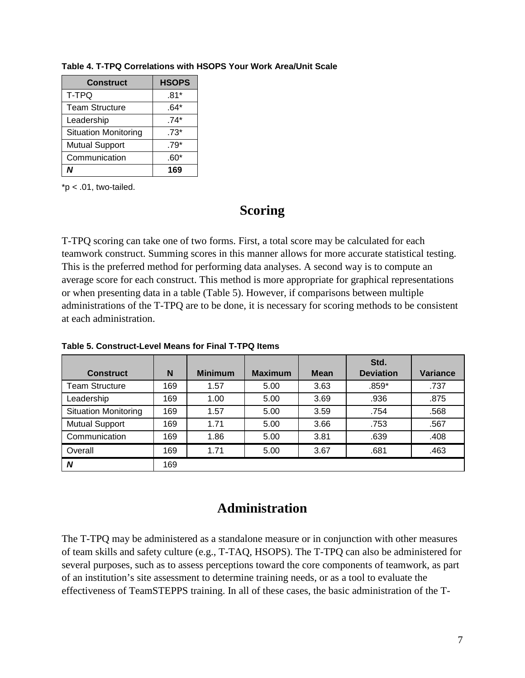| <b>Construct</b>            | <b>HSOPS</b> |
|-----------------------------|--------------|
| T-TPQ                       | $.81*$       |
| <b>Team Structure</b>       | .64*         |
| Leadership                  | $.74*$       |
| <b>Situation Monitoring</b> | $.73*$       |
| <b>Mutual Support</b>       | $.79*$       |
| Communication               | .60*         |
|                             | 169          |

**Table 4. T-TPQ Correlations with HSOPS Your Work Area/Unit Scale**

<span id="page-8-0"></span> $*p$  < .01, two-tailed.

#### **Scoring**

T-TPQ scoring can take one of two forms. First, a total score may be calculated for each teamwork construct. Summing scores in this manner allows for more accurate statistical testing. This is the preferred method for performing data analyses. A second way is to compute an average score for each construct. This method is more appropriate for graphical representations or when presenting data in a table (Table 5). However, if comparisons between multiple administrations of the T-TPQ are to be done, it is necessary for scoring methods to be consistent at each administration.

| <b>Construct</b>            | N   | <b>Minimum</b> | <b>Maximum</b> | <b>Mean</b> | Std.<br><b>Deviation</b> | <b>Variance</b> |
|-----------------------------|-----|----------------|----------------|-------------|--------------------------|-----------------|
| <b>Team Structure</b>       | 169 | 1.57           | 5.00           | 3.63        | $.859*$                  | .737            |
| Leadership                  | 169 | 1.00           | 5.00           | 3.69        | .936                     | .875            |
| <b>Situation Monitoring</b> | 169 | 1.57           | 5.00           | 3.59        | .754                     | .568            |
| <b>Mutual Support</b>       | 169 | 1.71           | 5.00           | 3.66        | .753                     | .567            |
| Communication               | 169 | 1.86           | 5.00           | 3.81        | .639                     | .408            |
| Overall                     | 169 | 1.71           | 5.00           | 3.67        | .681                     | .463            |
| N                           | 169 |                |                |             |                          |                 |

**Table 5. Construct-Level Means for Final T-TPQ Items**

#### **Administration**

<span id="page-8-1"></span>The T-TPQ may be administered as a standalone measure or in conjunction with other measures of team skills and safety culture (e.g., T-TAQ, HSOPS). The T-TPQ can also be administered for several purposes, such as to assess perceptions toward the core components of teamwork, as part of an institution's site assessment to determine training needs, or as a tool to evaluate the effectiveness of TeamSTEPPS training. In all of these cases, the basic administration of the T-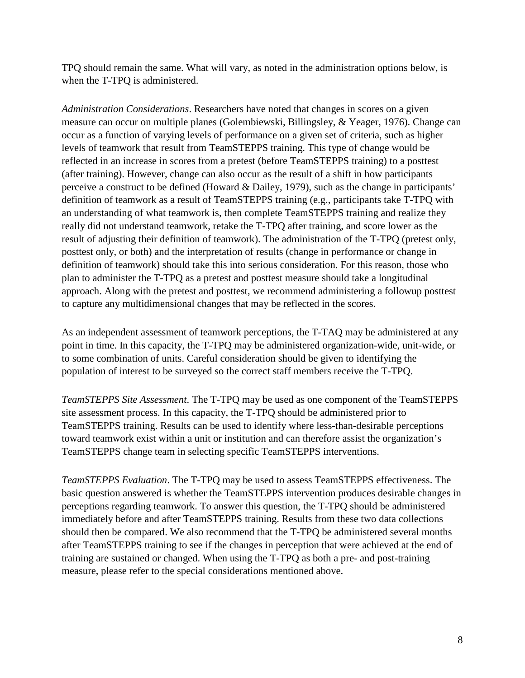TPQ should remain the same. What will vary, as noted in the administration options below, is when the T-TPQ is administered.

*Administration Considerations*. Researchers have noted that changes in scores on a given measure can occur on multiple planes (Golembiewski, Billingsley, & Yeager, 1976). Change can occur as a function of varying levels of performance on a given set of criteria, such as higher levels of teamwork that result from TeamSTEPPS training. This type of change would be reflected in an increase in scores from a pretest (before TeamSTEPPS training) to a posttest (after training). However, change can also occur as the result of a shift in how participants perceive a construct to be defined (Howard & Dailey, 1979), such as the change in participants' definition of teamwork as a result of TeamSTEPPS training (e.g., participants take T-TPQ with an understanding of what teamwork is, then complete TeamSTEPPS training and realize they really did not understand teamwork, retake the T-TPQ after training, and score lower as the result of adjusting their definition of teamwork). The administration of the T-TPQ (pretest only, posttest only, or both) and the interpretation of results (change in performance or change in definition of teamwork) should take this into serious consideration. For this reason, those who plan to administer the T-TPQ as a pretest and posttest measure should take a longitudinal approach. Along with the pretest and posttest, we recommend administering a followup posttest to capture any multidimensional changes that may be reflected in the scores.

As an independent assessment of teamwork perceptions, the T-TAQ may be administered at any point in time. In this capacity, the T-TPQ may be administered organization-wide, unit-wide, or to some combination of units. Careful consideration should be given to identifying the population of interest to be surveyed so the correct staff members receive the T-TPQ.

*TeamSTEPPS Site Assessment*. The T-TPQ may be used as one component of the TeamSTEPPS site assessment process. In this capacity, the T-TPQ should be administered prior to TeamSTEPPS training. Results can be used to identify where less-than-desirable perceptions toward teamwork exist within a unit or institution and can therefore assist the organization's TeamSTEPPS change team in selecting specific TeamSTEPPS interventions.

*TeamSTEPPS Evaluation*. The T-TPQ may be used to assess TeamSTEPPS effectiveness. The basic question answered is whether the TeamSTEPPS intervention produces desirable changes in perceptions regarding teamwork. To answer this question, the T-TPQ should be administered immediately before and after TeamSTEPPS training. Results from these two data collections should then be compared. We also recommend that the T-TPQ be administered several months after TeamSTEPPS training to see if the changes in perception that were achieved at the end of training are sustained or changed. When using the T-TPQ as both a pre- and post-training measure, please refer to the special considerations mentioned above.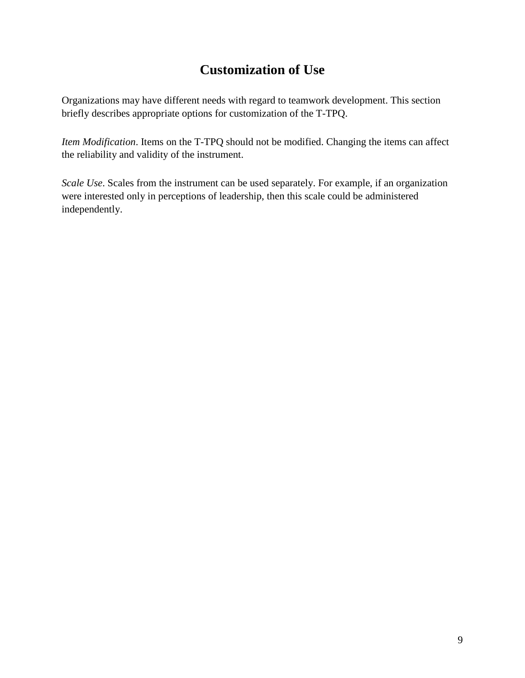# **Customization of Use**

<span id="page-10-0"></span>Organizations may have different needs with regard to teamwork development. This section briefly describes appropriate options for customization of the T-TPQ.

*Item Modification*. Items on the T-TPQ should not be modified. Changing the items can affect the reliability and validity of the instrument.

*Scale Use*. Scales from the instrument can be used separately. For example, if an organization were interested only in perceptions of leadership, then this scale could be administered independently.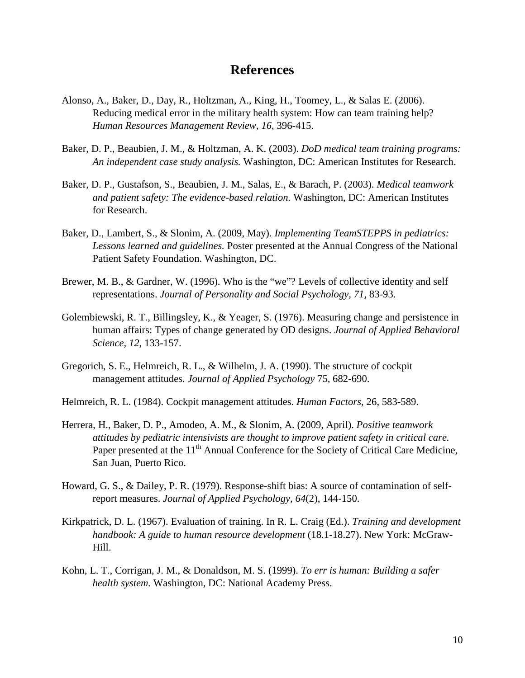#### **References**

- <span id="page-11-0"></span>Alonso, A., Baker, D., Day, R., Holtzman, A., King, H., Toomey, L., & Salas E. (2006). Reducing medical error in the military health system: How can team training help? *Human Resources Management Review, 16*, 396-415.
- Baker, D. P., Beaubien, J. M., & Holtzman, A. K. (2003). *DoD medical team training programs: An independent case study analysis.* Washington, DC: American Institutes for Research.
- Baker, D. P., Gustafson, S., Beaubien, J. M., Salas, E., & Barach, P. (2003). *Medical teamwork and patient safety: The evidence-based relation.* Washington, DC: American Institutes for Research.
- Baker, D., Lambert, S., & Slonim, A. (2009, May). *Implementing TeamSTEPPS in pediatrics: Lessons learned and guidelines.* Poster presented at the Annual Congress of the National Patient Safety Foundation. Washington, DC.
- Brewer, M. B., & Gardner, W. (1996). Who is the "we"? Levels of collective identity and self representations. *Journal of Personality and Social Psychology, 71*, 83-93.
- Golembiewski, R. T., Billingsley, K., & Yeager, S. (1976). Measuring change and persistence in human affairs: Types of change generated by OD designs. *Journal of Applied Behavioral Science, 12*, 133-157.
- Gregorich, S. E., Helmreich, R. L., & Wilhelm, J. A. (1990). The structure of cockpit management attitudes. *Journal of Applied Psychology* 75*,* 682-690.
- Helmreich, R. L. (1984). Cockpit management attitudes. *Human Factors,* 26, 583-589.
- Herrera, H., Baker, D. P., Amodeo, A. M., & Slonim, A. (2009, April). *Positive teamwork attitudes by pediatric intensivists are thought to improve patient safety in critical care.* Paper presented at the 11<sup>th</sup> Annual Conference for the Society of Critical Care Medicine, San Juan, Puerto Rico.
- Howard, G. S., & Dailey, P. R. (1979). Response-shift bias: A source of contamination of selfreport measures. *Journal of Applied Psychology, 64*(2), 144-150.
- Kirkpatrick, D. L. (1967). Evaluation of training. In R. L. Craig (Ed.). *Training and development handbook: A guide to human resource development* (18.1-18.27). New York: McGraw-Hill.
- Kohn, L. T., Corrigan, J. M., & Donaldson, M. S. (1999). *To err is human: Building a safer health system.* Washington, DC: National Academy Press.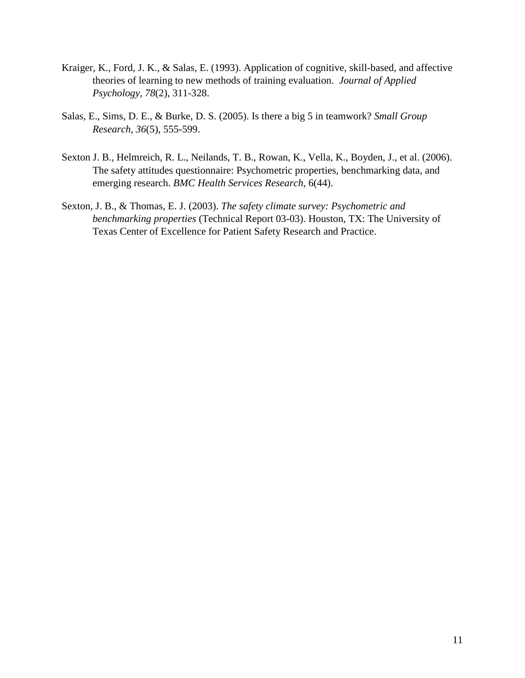- Kraiger, K., Ford, J. K., & Salas, E. (1993). Application of cognitive, skill-based, and affective theories of learning to new methods of training evaluation. *Journal of Applied Psychology, 78*(2), 311-328.
- Salas, E., Sims, D. E., & Burke, D. S. (2005). Is there a big 5 in teamwork? *Small Group Research, 36*(5), 555-599.
- Sexton J. B., Helmreich, R. L., Neilands, T. B., Rowan, K., Vella, K., Boyden, J., et al. (2006). The safety attitudes questionnaire: Psychometric properties, benchmarking data, and emerging research. *BMC Health Services Research*, 6(44).
- Sexton, J. B., & Thomas, E. J. (2003). *The safety climate survey: Psychometric and benchmarking properties* (Technical Report 03-03). Houston, TX: The University of Texas Center of Excellence for Patient Safety Research and Practice.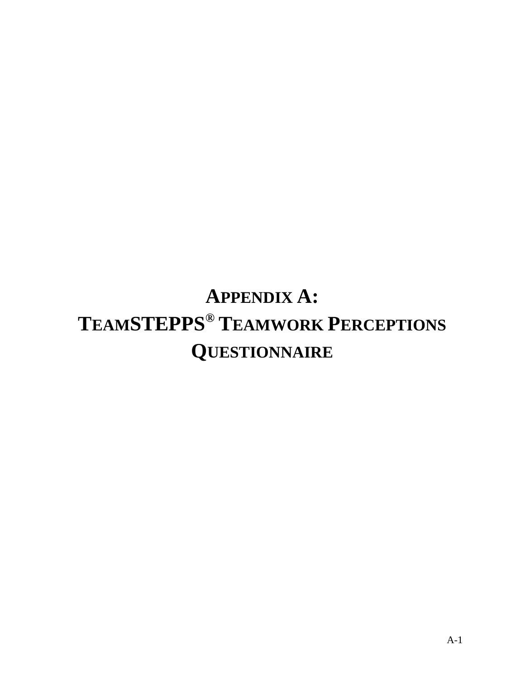# **APPENDIX A: TEAMSTEPPS® TEAMWORK PERCEPTIONS QUESTIONNAIRE**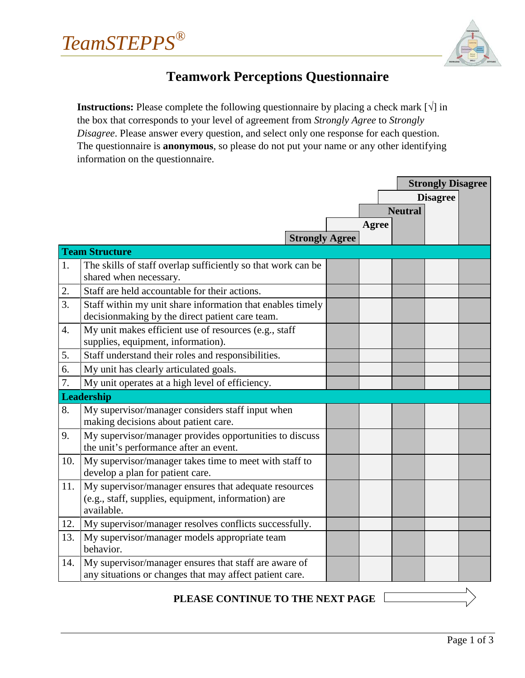*TeamSTEPPS®*



### **Teamwork Perceptions Questionnaire**

<span id="page-14-0"></span>**Instructions:** Please complete the following questionnaire by placing a check mark  $[\sqrt{\ }]$  in the box that corresponds to your level of agreement from *Strongly Agree* to *Strongly Disagree*. Please answer every question, and select only one response for each question. The questionnaire is **anonymous**, so please do not put your name or any other identifying information on the questionnaire.

|                  |                                                              |  |       |                | <b>Strongly Disagree</b> |  |
|------------------|--------------------------------------------------------------|--|-------|----------------|--------------------------|--|
|                  |                                                              |  |       |                | <b>Disagree</b>          |  |
|                  |                                                              |  |       | <b>Neutral</b> |                          |  |
|                  |                                                              |  | Agree |                |                          |  |
|                  | <b>Strongly Agree</b>                                        |  |       |                |                          |  |
|                  | <b>Team Structure</b>                                        |  |       |                |                          |  |
| 1.               | The skills of staff overlap sufficiently so that work can be |  |       |                |                          |  |
|                  | shared when necessary.                                       |  |       |                |                          |  |
| 2.               | Staff are held accountable for their actions.                |  |       |                |                          |  |
| 3.               | Staff within my unit share information that enables timely   |  |       |                |                          |  |
|                  | decisionmaking by the direct patient care team.              |  |       |                |                          |  |
| $\overline{4}$ . | My unit makes efficient use of resources (e.g., staff        |  |       |                |                          |  |
|                  | supplies, equipment, information).                           |  |       |                |                          |  |
| 5.               | Staff understand their roles and responsibilities.           |  |       |                |                          |  |
| 6.               | My unit has clearly articulated goals.                       |  |       |                |                          |  |
| 7.               | My unit operates at a high level of efficiency.              |  |       |                |                          |  |
|                  | <b>Leadership</b>                                            |  |       |                |                          |  |
| 8.               | My supervisor/manager considers staff input when             |  |       |                |                          |  |
|                  | making decisions about patient care.                         |  |       |                |                          |  |
| 9.               | My supervisor/manager provides opportunities to discuss      |  |       |                |                          |  |
|                  | the unit's performance after an event.                       |  |       |                |                          |  |
| 10.              | My supervisor/manager takes time to meet with staff to       |  |       |                |                          |  |
|                  | develop a plan for patient care.                             |  |       |                |                          |  |
| 11.              | My supervisor/manager ensures that adequate resources        |  |       |                |                          |  |
|                  | (e.g., staff, supplies, equipment, information) are          |  |       |                |                          |  |
|                  | available.                                                   |  |       |                |                          |  |
| 12.              | My supervisor/manager resolves conflicts successfully.       |  |       |                |                          |  |
| 13.              | My supervisor/manager models appropriate team                |  |       |                |                          |  |
|                  | behavior.                                                    |  |       |                |                          |  |
| 14.              | My supervisor/manager ensures that staff are aware of        |  |       |                |                          |  |
|                  | any situations or changes that may affect patient care.      |  |       |                |                          |  |

#### **PLEASE CONTINUE TO THE NEXT PAGE**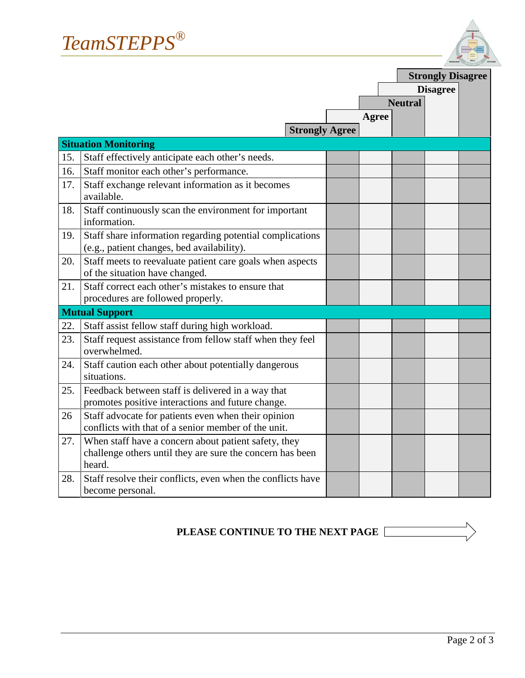

|     |                                                                                                                             |              | <b>Strongly Disagree</b> |                 |  |
|-----|-----------------------------------------------------------------------------------------------------------------------------|--------------|--------------------------|-----------------|--|
|     |                                                                                                                             |              |                          | <b>Disagree</b> |  |
|     |                                                                                                                             |              | <b>Neutral</b>           |                 |  |
|     |                                                                                                                             | <b>Agree</b> |                          |                 |  |
|     | <b>Strongly Agree</b>                                                                                                       |              |                          |                 |  |
|     | <b>Situation Monitoring</b>                                                                                                 |              |                          |                 |  |
| 15. | Staff effectively anticipate each other's needs.                                                                            |              |                          |                 |  |
| 16. | Staff monitor each other's performance.                                                                                     |              |                          |                 |  |
| 17. | Staff exchange relevant information as it becomes<br>available.                                                             |              |                          |                 |  |
| 18. | Staff continuously scan the environment for important<br>information.                                                       |              |                          |                 |  |
| 19. | Staff share information regarding potential complications<br>(e.g., patient changes, bed availability).                     |              |                          |                 |  |
| 20. | Staff meets to reevaluate patient care goals when aspects<br>of the situation have changed.                                 |              |                          |                 |  |
| 21. | Staff correct each other's mistakes to ensure that<br>procedures are followed properly.                                     |              |                          |                 |  |
|     | <b>Mutual Support</b>                                                                                                       |              |                          |                 |  |
| 22. | Staff assist fellow staff during high workload.                                                                             |              |                          |                 |  |
| 23. | Staff request assistance from fellow staff when they feel<br>overwhelmed.                                                   |              |                          |                 |  |
| 24. | Staff caution each other about potentially dangerous<br>situations.                                                         |              |                          |                 |  |
| 25. | Feedback between staff is delivered in a way that<br>promotes positive interactions and future change.                      |              |                          |                 |  |
| 26  | Staff advocate for patients even when their opinion<br>conflicts with that of a senior member of the unit.                  |              |                          |                 |  |
| 27. | When staff have a concern about patient safety, they<br>challenge others until they are sure the concern has been<br>heard. |              |                          |                 |  |
| 28. | Staff resolve their conflicts, even when the conflicts have<br>become personal.                                             |              |                          |                 |  |

## **PLEASE CONTINUE TO THE NEXT PAGE**